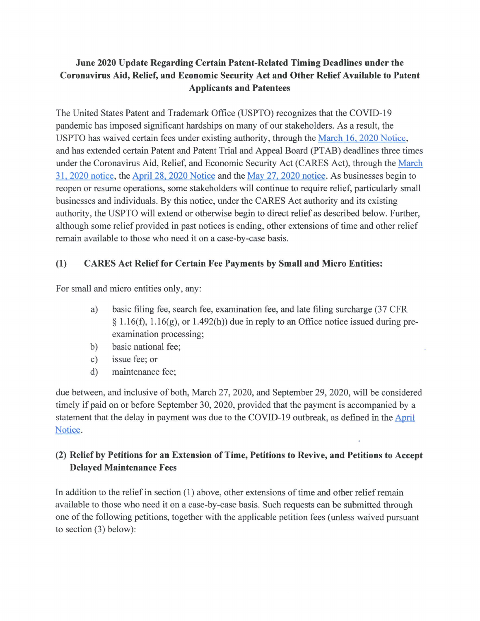# **June 2020 Update Regarding Certain Patent-Related Timing Deadlines under the Coronavirus Aid, Relief, and Economic Security Act and Other Relief Available to Patent Applicants and Patentees**

The United States Patent and Trademark Office (USPTO) recognizes that the COVID-19 pandemic has imposed significant hardships on many of our stakeholders. As a result, the USPTO has waived certain fees under existing authority, through the March 16, 2020 Notice, and has extended certain Patent and Patent Trial and Appeal Board (PTAB) deadlines three times under the Coronavirus Aid, Relief, and Economic Security Act (CARES Act), through the March 31 , 2020 notice, the April 28, 2020 Notice and the May 27, 2020 notice. As businesses begin to reopen or resume operations, some stakeholders will continue to require relief, particularly small businesses and individuals. By this notice, under the CARES Act authority and its existing authority, the USPTO will extend or otherwise begin to direct relief as described below. Further, although some relief provided in past notices is ending, other extensions oftime and other relief remain available to those who need it on a case-by-case basis.

## **(1) CARES Act Relief for Certain Fee Payments by Small and Micro Entities:**

For small and micro entities only, any:

- a) basic filing fee, search fee, examination fee, and late filing surcharge (37 CFR  $\S 1.16(f)$ ,  $1.16(g)$ , or  $1.492(h)$  due in reply to an Office notice issued during preexamination processing;
- b) basic national fee;
- c) issue fee; or
- d) maintenance fee;

due between, and inclusive of both, March 27, 2020, and September 29, 2020, will be considered timely if paid on or before September 30, 2020, provided that the payment is accompanied by a statement that the delay in payment was due to the COVID-19 outbreak, as defined in the April Notice.

## **(2) Relief by Petitions for an Extension of Time, Petitions to Revive, and Petitions to Accept Delayed Maintenance Fees**

In addition to the relief in section  $(1)$  above, other extensions of time and other relief remain available to those who need it on a case-by-case basis. Such requests can be submitted through one ofthe following petitions, together with the applicable petition fees (unless waived pursuant to section (3) below):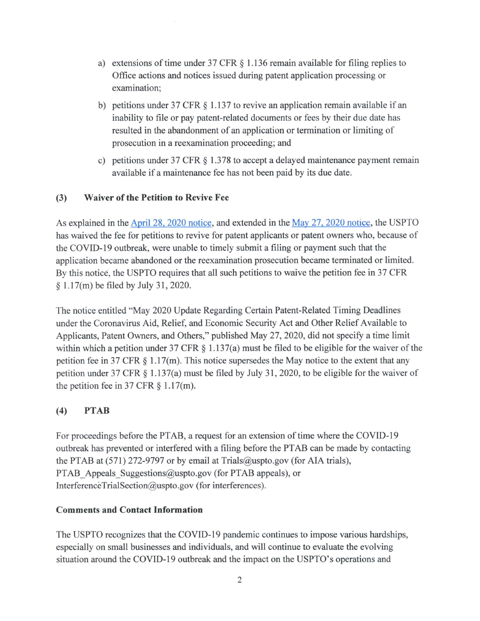- a) extensions of time under 37 CFR  $\S$  1.136 remain available for filing replies to Office actions and notices issued during patent application processing or examination;
- b) petitions under 37 CFR  $\S$  1.137 to revive an application remain available if an inability to file or pay patent-related documents or fees by their due date has resulted in the abandonment of an application or termination or limiting of prosecution in a reexamination proceeding; and
- c) petitions under 37 CFR § 1.378 to accept a delayed maintenance payment remain available if a maintenance fee has not been paid by its due date.

### **(3) Waiver of the Petition to Revive Fee**

As explained in the April 28, 2020 notice, and extended in the May 27, 2020 notice, the USPTO has waived the fee for petitions to revive for patent applicants or patent owners who, because of the COVID-19 outbreak, were unable to timely submit a filing or payment such that the application became abandoned or the reexamination prosecution became terminated or limited. By this notice, the USPTO requires that all such petitions to waive the petition fee in 37 CFR § l .17(m) be filed by July 31 , 2020.

The notice entitled "May 2020 Update Regarding Certain Patent-Related Timing Deadlines under the Coronavirus Aid, Relief, and Economic Security Act and Other Relief Available to Applicants, Patent Owners, and Others," published May 27, 2020, did not specify a time limit within which a petition under 37 CFR § 1.137(a) must be filed to be eligible for the waiver of the petition fee in 37 CFR  $\S 1.17(m)$ . This notice supersedes the May notice to the extent that any petition under 37 CFR § l.137(a) must be filed by July 31, 2020, to be eligible for the waiver of the petition fee in 37 CFR  $\S 1.17$ (m).

## **(4) PTAB**

For proceedings before the PTAB, a request for an extension of time where the COVID-19 outbreak has prevented or interfered with a filing before the PT AB can be made by contacting the PTAB at (571) 272-9797 or by email at [Trials@uspto.gov](mailto:Trials@uspto.gov) (for AIA trials), PTAB Appeals [Suggestions@uspto.gov](mailto:Suggestions@uspto.gov) (for PTAB appeals), or [InterferenceTrialSection@uspto.gov](mailto:InterferenceTrialSection@uspto.gov) (for interferences).

#### **Comments and Contact Information**

The USPTO recognizes that the COVID-19 pandemic continues to impose various hardships, especially on small businesses and individuals, and will continue to evaluate the evolving situation around the COVID-19 outbreak and the impact on the USPTO's operations and